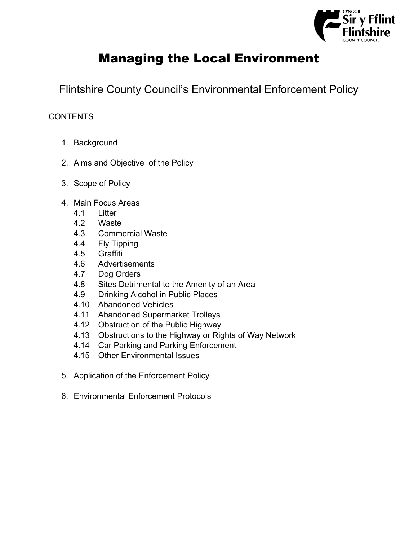

# Managing the Local Environment

Flintshire County Council's Environmental Enforcement Policy

# **CONTENTS**

- 1. Background
- 2. Aims and Objective of the Policy
- 3. Scope of Policy
- 4. Main Focus Areas
	- 4.1 Litter
	- 4.2 Waste
	- 4.3 Commercial Waste
	- 4.4 Fly Tipping
	- 4.5 Graffiti
	- 4.6 Advertisements
	- 4.7 Dog Orders
	- 4.8 Sites Detrimental to the Amenity of an Area
	- 4.9 Drinking Alcohol in Public Places
	- 4.10 Abandoned Vehicles
	- 4.11 Abandoned Supermarket Trolleys
	- 4.12 Obstruction of the Public Highway
	- 4.13 Obstructions to the Highway or Rights of Way Network
	- 4.14 Car Parking and Parking Enforcement
	- 4.15 Other Environmental Issues
- 5. Application of the Enforcement Policy
- 6. Environmental Enforcement Protocols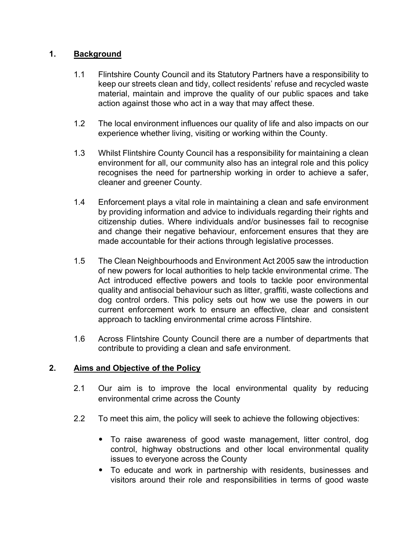# **1. Background**

- 1.1 Flintshire County Council and its Statutory Partners have a responsibility to keep our streets clean and tidy, collect residents' refuse and recycled waste material, maintain and improve the quality of our public spaces and take action against those who act in a way that may affect these.
- 1.2 The local environment influences our quality of life and also impacts on our experience whether living, visiting or working within the County.
- 1.3 Whilst Flintshire County Council has a responsibility for maintaining a clean environment for all, our community also has an integral role and this policy recognises the need for partnership working in order to achieve a safer, cleaner and greener County.
- 1.4 Enforcement plays a vital role in maintaining a clean and safe environment by providing information and advice to individuals regarding their rights and citizenship duties. Where individuals and/or businesses fail to recognise and change their negative behaviour, enforcement ensures that they are made accountable for their actions through legislative processes.
- 1.5 The Clean Neighbourhoods and Environment Act 2005 saw the introduction of new powers for local authorities to help tackle environmental crime. The Act introduced effective powers and tools to tackle poor environmental quality and antisocial behaviour such as litter, graffiti, waste collections and dog control orders. This policy sets out how we use the powers in our current enforcement work to ensure an effective, clear and consistent approach to tackling environmental crime across Flintshire.
- 1.6 Across Flintshire County Council there are a number of departments that contribute to providing a clean and safe environment.

# **2. Aims and Objective of the Policy**

- 2.1 Our aim is to improve the local environmental quality by reducing environmental crime across the County
- 2.2 To meet this aim, the policy will seek to achieve the following objectives:
	- To raise awareness of good waste management, litter control, dog control, highway obstructions and other local environmental quality issues to everyone across the County
	- To educate and work in partnership with residents, businesses and visitors around their role and responsibilities in terms of good waste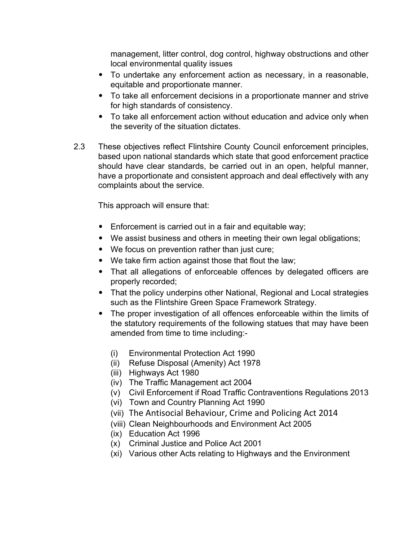management, litter control, dog control, highway obstructions and other local environmental quality issues

- To undertake any enforcement action as necessary, in a reasonable, equitable and proportionate manner.
- To take all enforcement decisions in a proportionate manner and strive for high standards of consistency.
- To take all enforcement action without education and advice only when the severity of the situation dictates.
- 2.3 These objectives reflect Flintshire County Council enforcement principles, based upon national standards which state that good enforcement practice should have clear standards, be carried out in an open, helpful manner, have a proportionate and consistent approach and deal effectively with any complaints about the service.

This approach will ensure that:

- Enforcement is carried out in a fair and equitable way;
- We assist business and others in meeting their own legal obligations;
- We focus on prevention rather than just cure;
- We take firm action against those that flout the law;
- That all allegations of enforceable offences by delegated officers are properly recorded;
- That the policy underpins other National, Regional and Local strategies such as the Flintshire Green Space Framework Strategy.
- The proper investigation of all offences enforceable within the limits of the statutory requirements of the following statues that may have been amended from time to time including:-
	- (i) Environmental Protection Act 1990
	- (ii) Refuse Disposal (Amenity) Act 1978
	- (iii) Highways Act 1980
	- (iv) The Traffic Management act 2004
	- (v) Civil Enforcement if Road Traffic Contraventions Regulations 2013
	- (vi) Town and Country Planning Act 1990
	- (vii) The Antisocial Behaviour, Crime and Policing Act 2014
	- (viii) Clean Neighbourhoods and Environment Act 2005
	- (ix) Education Act 1996
	- (x) Criminal Justice and Police Act 2001
	- (xi) Various other Acts relating to Highways and the Environment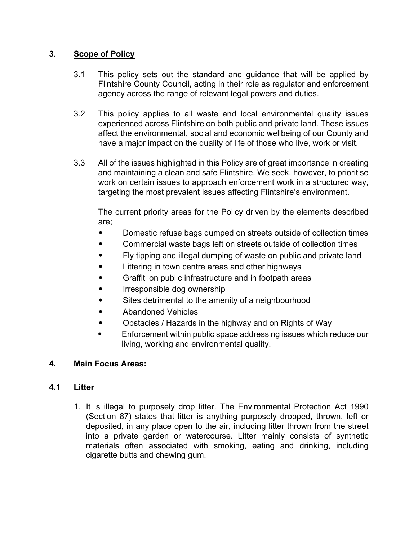# **3. Scope of Policy**

- 3.1 This policy sets out the standard and guidance that will be applied by Flintshire County Council, acting in their role as regulator and enforcement agency across the range of relevant legal powers and duties.
- 3.2 This policy applies to all waste and local environmental quality issues experienced across Flintshire on both public and private land. These issues affect the environmental, social and economic wellbeing of our County and have a major impact on the quality of life of those who live, work or visit.
- 3.3 All of the issues highlighted in this Policy are of great importance in creating and maintaining a clean and safe Flintshire. We seek, however, to prioritise work on certain issues to approach enforcement work in a structured way, targeting the most prevalent issues affecting Flintshire's environment.

The current priority areas for the Policy driven by the elements described are;

- Domestic refuse bags dumped on streets outside of collection times
- Commercial waste bags left on streets outside of collection times
- Fly tipping and illegal dumping of waste on public and private land
- Littering in town centre areas and other highways
- Graffiti on public infrastructure and in footpath areas
- Irresponsible dog ownership
- Sites detrimental to the amenity of a neighbourhood
- Abandoned Vehicles
- Obstacles / Hazards in the highway and on Rights of Way
- Enforcement within public space addressing issues which reduce our living, working and environmental quality.

# **4. Main Focus Areas:**

# **4.1 Litter**

1. It is illegal to purposely drop litter. The Environmental Protection Act 1990 (Section 87) states that litter is anything purposely dropped, thrown, left or deposited, in any place open to the air, including litter thrown from the street into a private garden or watercourse. Litter mainly consists of synthetic materials often associated with smoking, eating and drinking, including cigarette butts and chewing gum.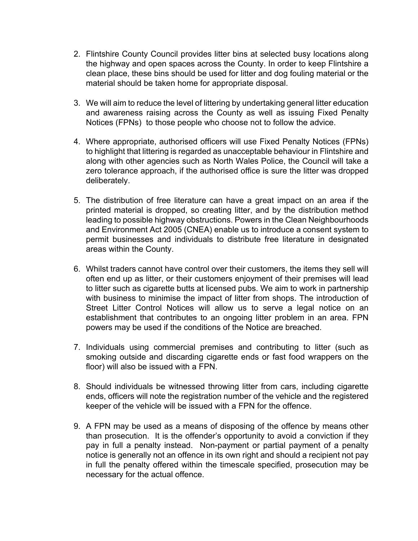- 2. Flintshire County Council provides litter bins at selected busy locations along the highway and open spaces across the County. In order to keep Flintshire a clean place, these bins should be used for litter and dog fouling material or the material should be taken home for appropriate disposal.
- 3. We will aim to reduce the level of littering by undertaking general litter education and awareness raising across the County as well as issuing Fixed Penalty Notices (FPNs) to those people who choose not to follow the advice.
- 4. Where appropriate, authorised officers will use Fixed Penalty Notices (FPNs) to highlight that littering is regarded as unacceptable behaviour in Flintshire and along with other agencies such as North Wales Police, the Council will take a zero tolerance approach, if the authorised office is sure the litter was dropped deliberately.
- 5. The distribution of free literature can have a great impact on an area if the printed material is dropped, so creating litter, and by the distribution method leading to possible highway obstructions. Powers in the Clean Neighbourhoods and Environment Act 2005 (CNEA) enable us to introduce a consent system to permit businesses and individuals to distribute free literature in designated areas within the County.
- 6. Whilst traders cannot have control over their customers, the items they sell will often end up as litter, or their customers enjoyment of their premises will lead to litter such as cigarette butts at licensed pubs. We aim to work in partnership with business to minimise the impact of litter from shops. The introduction of Street Litter Control Notices will allow us to serve a legal notice on an establishment that contributes to an ongoing litter problem in an area. FPN powers may be used if the conditions of the Notice are breached.
- 7. Individuals using commercial premises and contributing to litter (such as smoking outside and discarding cigarette ends or fast food wrappers on the floor) will also be issued with a FPN.
- 8. Should individuals be witnessed throwing litter from cars, including cigarette ends, officers will note the registration number of the vehicle and the registered keeper of the vehicle will be issued with a FPN for the offence.
- 9. A FPN may be used as a means of disposing of the offence by means other than prosecution. It is the offender's opportunity to avoid a conviction if they pay in full a penalty instead. Non-payment or partial payment of a penalty notice is generally not an offence in its own right and should a recipient not pay in full the penalty offered within the timescale specified, prosecution may be necessary for the actual offence.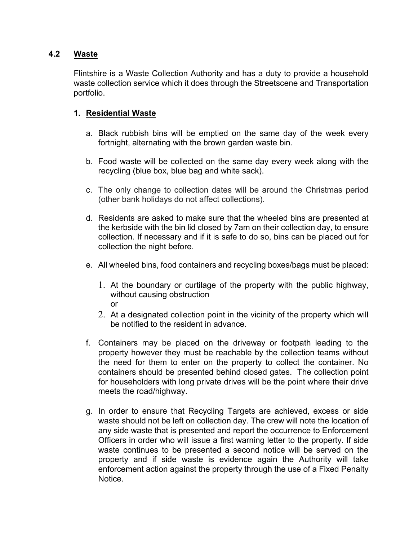## **4.2 Waste**

Flintshire is a Waste Collection Authority and has a duty to provide a household waste collection service which it does through the Streetscene and Transportation portfolio.

## **1. Residential Waste**

- a. Black rubbish bins will be emptied on the same day of the week every fortnight, alternating with the brown garden waste bin.
- b. Food waste will be collected on the same day every week along with the recycling (blue box, blue bag and white sack).
- c. The only change to collection dates will be around the Christmas period (other bank holidays do not affect collections).
- d. Residents are asked to make sure that the wheeled bins are presented at the kerbside with the bin lid closed by 7am on their collection day, to ensure collection. If necessary and if it is safe to do so, bins can be placed out for collection the night before.
- e. All wheeled bins, food containers and recycling boxes/bags must be placed:
	- 1. At the boundary or curtilage of the property with the public highway, without causing obstruction or
	- 2. At a designated collection point in the vicinity of the property which will be notified to the resident in advance.
- f. Containers may be placed on the driveway or footpath leading to the property however they must be reachable by the collection teams without the need for them to enter on the property to collect the container. No containers should be presented behind closed gates. The collection point for householders with long private drives will be the point where their drive meets the road/highway.
- g. In order to ensure that Recycling Targets are achieved, excess or side waste should not be left on collection day. The crew will note the location of any side waste that is presented and report the occurrence to Enforcement Officers in order who will issue a first warning letter to the property. If side waste continues to be presented a second notice will be served on the property and if side waste is evidence again the Authority will take enforcement action against the property through the use of a Fixed Penalty **Notice**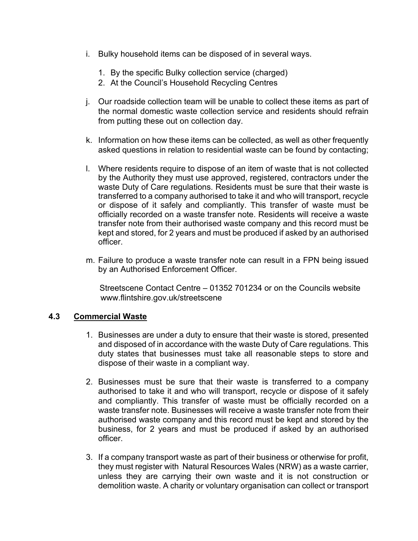- i. Bulky household items can be disposed of in several ways.
	- 1. By the specific Bulky collection service (charged)
	- 2. At the Council's Household Recycling Centres
- j. Our roadside collection team will be unable to collect these items as part of the normal domestic waste collection service and residents should refrain from putting these out on collection day.
- k. Information on how these items can be collected, as well as other frequently asked questions in relation to residential waste can be found by contacting;
- l. Where residents require to dispose of an item of waste that is not collected by the Authority they must use approved, registered, contractors under the waste Duty of Care regulations. Residents must be sure that their waste is transferred to a company authorised to take it and who will transport, recycle or dispose of it safely and compliantly. This transfer of waste must be officially recorded on a waste transfer note. Residents will receive a waste transfer note from their authorised waste company and this record must be kept and stored, for 2 years and must be produced if asked by an authorised officer.
- m. Failure to produce a waste transfer note can result in a FPN being issued by an Authorised Enforcement Officer.

Streetscene Contact Centre – 01352 701234 or on the Councils website www.flintshire.gov.uk/streetscene

### **4.3 Commercial Waste**

- 1. Businesses are under a duty to ensure that their waste is stored, presented and disposed of in accordance with the waste Duty of Care regulations. This duty states that businesses must take all reasonable steps to store and dispose of their waste in a compliant way.
- 2. Businesses must be sure that their waste is transferred to a company authorised to take it and who will transport, recycle or dispose of it safely and compliantly. This transfer of waste must be officially recorded on a waste transfer note. Businesses will receive a waste transfer note from their authorised waste company and this record must be kept and stored by the business, for 2 years and must be produced if asked by an authorised officer.
- 3. If a company transport waste as part of their business or otherwise for profit, they must register with Natural Resources Wales (NRW) as a waste carrier, unless they are carrying their own waste and it is not construction or demolition waste. A charity or voluntary organisation can collect or transport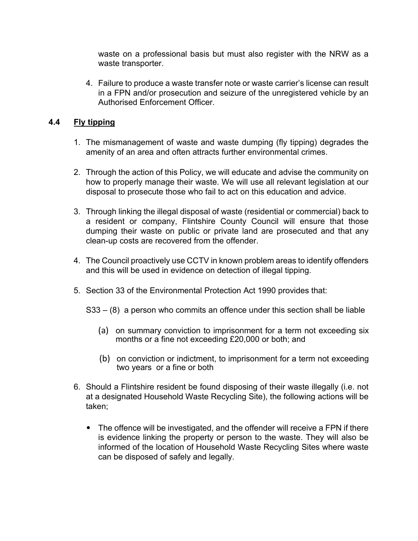waste on a professional basis but must also register with the NRW as a waste transporter.

4. Failure to produce a waste transfer note or waste carrier's license can result in a FPN and/or prosecution and seizure of the unregistered vehicle by an Authorised Enforcement Officer.

## **4.4 Fly tipping**

- 1. The mismanagement of waste and waste dumping (fly tipping) degrades the amenity of an area and often attracts further environmental crimes.
- 2. Through the action of this Policy, we will educate and advise the community on how to properly manage their waste. We will use all relevant legislation at our disposal to prosecute those who fail to act on this education and advice.
- 3. Through linking the illegal disposal of waste (residential or commercial) back to a resident or company, Flintshire County Council will ensure that those dumping their waste on public or private land are prosecuted and that any clean-up costs are recovered from the offender.
- 4. The Council proactively use CCTV in known problem areas to identify offenders and this will be used in evidence on detection of illegal tipping.
- 5. Section 33 of the Environmental Protection Act 1990 provides that:

S33 – (8) a person who commits an offence under this section shall be liable

- (a) on summary conviction to imprisonment for a term not exceeding six months or a fine not exceeding £20,000 or both; and
- (b) on conviction or indictment, to imprisonment for a term not exceeding two years or a fine or both
- 6. Should a Flintshire resident be found disposing of their waste illegally (i.e. not at a designated Household Waste Recycling Site), the following actions will be taken;
	- The offence will be investigated, and the offender will receive a FPN if there is evidence linking the property or person to the waste. They will also be informed of the location of Household Waste Recycling Sites where waste can be disposed of safely and legally.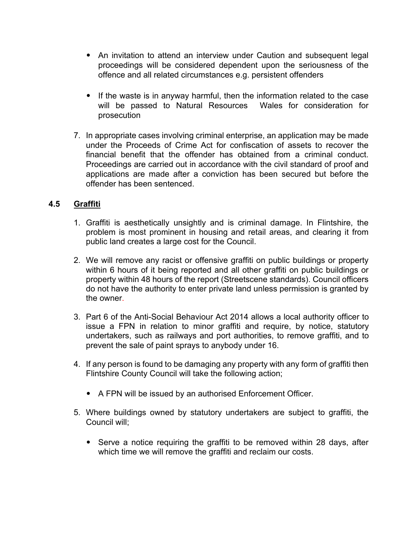- An invitation to attend an interview under Caution and subsequent legal proceedings will be considered dependent upon the seriousness of the offence and all related circumstances e.g. persistent offenders
- If the waste is in anyway harmful, then the information related to the case will be passed to Natural Resources Wales for consideration for prosecution
- 7. In appropriate cases involving criminal enterprise, an application may be made under the Proceeds of Crime Act for confiscation of assets to recover the financial benefit that the offender has obtained from a criminal conduct. Proceedings are carried out in accordance with the civil standard of proof and applications are made after a conviction has been secured but before the offender has been sentenced.

## **4.5 Graffiti**

- 1. Graffiti is aesthetically unsightly and is criminal damage. In Flintshire, the problem is most prominent in housing and retail areas, and clearing it from public land creates a large cost for the Council.
- 2. We will remove any racist or offensive graffiti on public buildings or property within 6 hours of it being reported and all other graffiti on public buildings or property within 48 hours of the report (Streetscene standards). Council officers do not have the authority to enter private land unless permission is granted by the owner.
- 3. Part 6 of the Anti-Social Behaviour Act 2014 allows a local authority officer to issue a FPN in relation to minor graffiti and require, by notice, statutory undertakers, such as railways and port authorities, to remove graffiti, and to prevent the sale of paint sprays to anybody under 16.
- 4. If any person is found to be damaging any property with any form of graffiti then Flintshire County Council will take the following action;
	- A FPN will be issued by an authorised Enforcement Officer.
- 5. Where buildings owned by statutory undertakers are subject to graffiti, the Council will;
	- Serve a notice requiring the graffiti to be removed within 28 days, after which time we will remove the graffiti and reclaim our costs.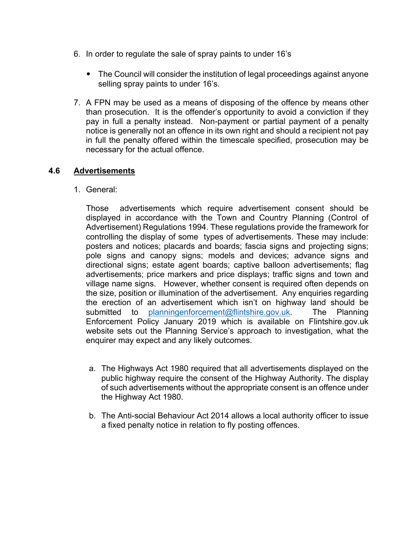- 6. In order to regulate the sale of spray paints to under 16's
	- The Council will consider the institution of legal proceedings against anyone selling spray paints to under 16's.
- 7. A FPN may be used as a means of disposing of the offence by means other than prosecution. It is the offender's opportunity to avoid a conviction if they pay in full a penalty instead. Non-payment or partial payment of a penalty notice is generally not an offence in its own right and should a recipient not pay in full the penalty offered within the timescale specified, prosecution may be necessary for the actual offence.

# **4.6 Advertisements**

1. General:

Those advertisements which require advertisement consent should be displayed in accordance with the Town and Country Planning (Control of Advertisement) Regulations 1994. These regulations provide the framework for controlling the display of some types of advertisements. These may include: posters and notices; placards and boards; fascia signs and projecting signs; pole signs and canopy signs; models and devices; advance signs and directional signs; estate agent boards; captive balloon advertisements; flag advertisements; price markers and price displays; traffic signs and town and village name signs. However, whether consent is required often depends on the size, position or illumination of the advertisement. Any enquiries regarding the erection of an advertisement which isn't on highway land should be submitted to [planningenforcement@flintshire.gov.uk](mailto:planningenforcement@flintshire.gov.uk). The Planning Enforcement Policy January 2019 which is available on Flintshire.gov.uk website sets out the Planning Service's approach to investigation, what the enquirer may expect and any likely outcomes.

- a. The Highways Act 1980 required that all advertisements displayed on the public highway require the consent of the Highway Authority. The display of such advertisements without the appropriate consent is an offence under the Highway Act 1980.
- b. The Anti-social Behaviour Act 2014 allows a local authority officer to issue a fixed penalty notice in relation to fly posting offences.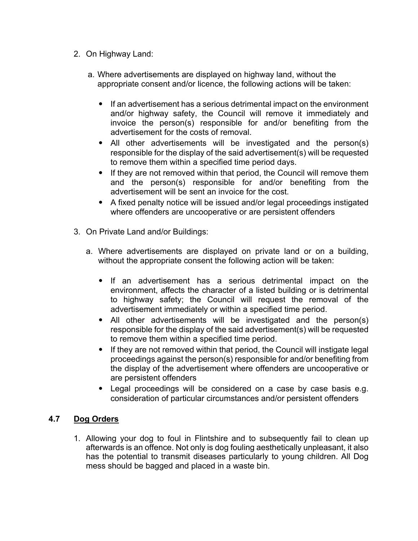- 2. On Highway Land:
	- a. Where advertisements are displayed on highway land, without the appropriate consent and/or licence, the following actions will be taken:
		- If an advertisement has a serious detrimental impact on the environment and/or highway safety, the Council will remove it immediately and invoice the person(s) responsible for and/or benefiting from the advertisement for the costs of removal.
		- All other advertisements will be investigated and the person(s) responsible for the display of the said advertisement(s) will be requested to remove them within a specified time period days.
		- If they are not removed within that period, the Council will remove them and the person(s) responsible for and/or benefiting from the advertisement will be sent an invoice for the cost.
		- A fixed penalty notice will be issued and/or legal proceedings instigated where offenders are uncooperative or are persistent offenders
- 3. On Private Land and/or Buildings:
	- a. Where advertisements are displayed on private land or on a building, without the appropriate consent the following action will be taken:
		- If an advertisement has a serious detrimental impact on the environment, affects the character of a listed building or is detrimental to highway safety; the Council will request the removal of the advertisement immediately or within a specified time period.
		- All other advertisements will be investigated and the person(s) responsible for the display of the said advertisement(s) will be requested to remove them within a specified time period.
		- If they are not removed within that period, the Council will instigate legal proceedings against the person(s) responsible for and/or benefiting from the display of the advertisement where offenders are uncooperative or are persistent offenders
		- Legal proceedings will be considered on a case by case basis e.g. consideration of particular circumstances and/or persistent offenders

# **4.7 Dog Orders**

1. Allowing your dog to foul in Flintshire and to subsequently fail to clean up afterwards is an offence. Not only is dog fouling aesthetically unpleasant, it also has the potential to transmit diseases particularly to young children. All Dog mess should be bagged and placed in a waste bin.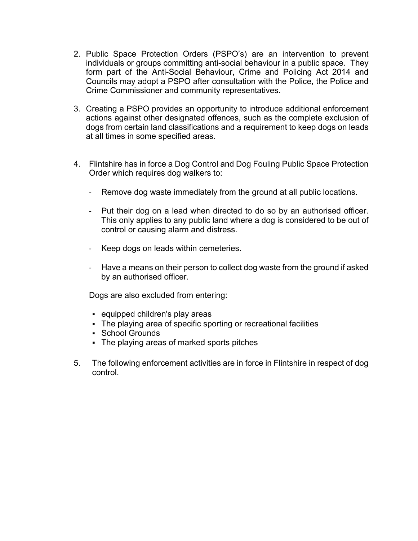- 2. Public Space Protection Orders (PSPO's) are an intervention to prevent individuals or groups committing anti-social behaviour in a public space. They form part of the Anti-Social Behaviour, Crime and Policing Act 2014 and Councils may adopt a PSPO after consultation with the Police, the Police and Crime Commissioner and community representatives.
- 3. Creating a PSPO provides an opportunity to introduce additional enforcement actions against other designated offences, such as the complete exclusion of dogs from certain land classifications and a requirement to keep dogs on leads at all times in some specified areas.
- 4. Flintshire has in force a Dog Control and Dog Fouling Public Space Protection Order which requires dog walkers to:
	- Remove dog waste immediately from the ground at all public locations.
	- Put their dog on a lead when directed to do so by an authorised officer. This only applies to any public land where a dog is considered to be out of control or causing alarm and distress.
	- Keep dogs on leads within cemeteries.
	- Have a means on their person to collect dog waste from the ground if asked by an authorised officer.

Dogs are also excluded from entering:

- equipped children's play areas
- The playing area of specific sporting or recreational facilities
- **School Grounds**
- The playing areas of marked sports pitches
- 5. The following enforcement activities are in force in Flintshire in respect of dog control.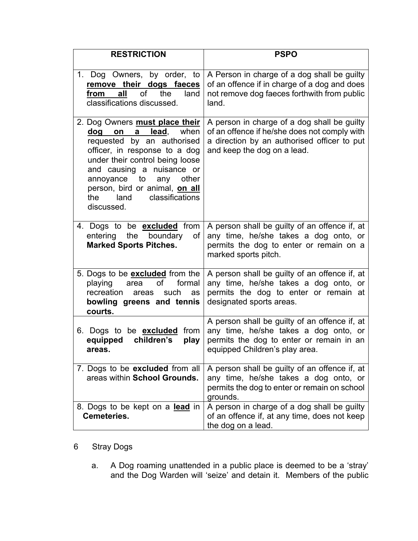| <b>RESTRICTION</b>                                                                                                                                                                                                                                                                                            | <b>PSPO</b>                                                                                                                                                               |
|---------------------------------------------------------------------------------------------------------------------------------------------------------------------------------------------------------------------------------------------------------------------------------------------------------------|---------------------------------------------------------------------------------------------------------------------------------------------------------------------------|
| 1. Dog Owners, by order, to<br>remove their dogs faeces<br>land<br>of<br>the<br>all<br>from<br>classifications discussed.                                                                                                                                                                                     | A Person in charge of a dog shall be guilty<br>of an offence if in charge of a dog and does<br>not remove dog faeces forthwith from public<br>land.                       |
| 2. Dog Owners must place their<br><b>lead,</b> when<br>dog on a<br>requested by an authorised<br>officer, in response to a dog<br>under their control being loose<br>and causing a nuisance or<br>annoyance to<br>other<br>any<br>person, bird or animal, on all<br>the land<br>classifications<br>discussed. | A person in charge of a dog shall be guilty<br>of an offence if he/she does not comply with<br>a direction by an authorised officer to put<br>and keep the dog on a lead. |
| 4. Dogs to be <b>excluded</b> from<br>boundary<br>entering the<br>of<br><b>Marked Sports Pitches.</b>                                                                                                                                                                                                         | A person shall be guilty of an offence if, at<br>any time, he/she takes a dog onto, or<br>permits the dog to enter or remain on a<br>marked sports pitch.                 |
| 5. Dogs to be <b>excluded</b> from the<br>of<br>playing<br>formal<br>area<br>recreation<br>such<br>areas<br>as<br>bowling greens and tennis<br>courts.                                                                                                                                                        | A person shall be guilty of an offence if, at<br>any time, he/she takes a dog onto, or<br>permits the dog to enter or remain at<br>designated sports areas.               |
| 6. Dogs to be <b>excluded</b><br>from<br>equipped<br>children's<br>play<br>areas.                                                                                                                                                                                                                             | A person shall be guilty of an offence if, at<br>any time, he/she takes a dog onto, or<br>permits the dog to enter or remain in an<br>equipped Children's play area.      |
| 7. Dogs to be <b>excluded</b> from all<br>areas within School Grounds.                                                                                                                                                                                                                                        | A person shall be guilty of an offence if, at<br>any time, he/she takes a dog onto, or<br>permits the dog to enter or remain on school<br>grounds.                        |
| 8. Dogs to be kept on a lead in<br><b>Cemeteries.</b>                                                                                                                                                                                                                                                         | A person in charge of a dog shall be guilty<br>of an offence if, at any time, does not keep<br>the dog on a lead.                                                         |

# 6 Stray Dogs

a. A Dog roaming unattended in a public place is deemed to be a 'stray' and the Dog Warden will 'seize' and detain it. Members of the public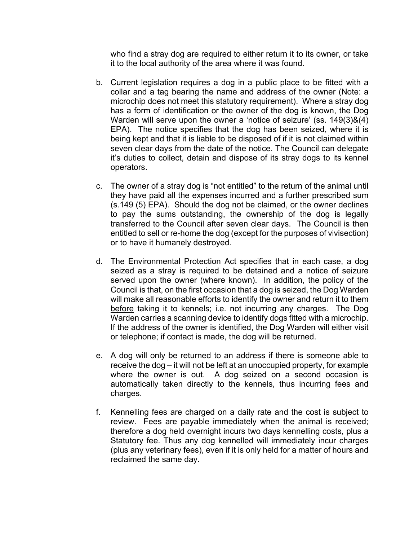who find a stray dog are required to either return it to its owner, or take it to the local authority of the area where it was found.

- b. Current legislation requires a dog in a public place to be fitted with a collar and a tag bearing the name and address of the owner (Note: a microchip does not meet this statutory requirement). Where a stray dog has a form of identification or the owner of the dog is known, the Dog Warden will serve upon the owner a 'notice of seizure' (ss. 149(3)&(4) EPA). The notice specifies that the dog has been seized, where it is being kept and that it is liable to be disposed of if it is not claimed within seven clear days from the date of the notice. The Council can delegate it's duties to collect, detain and dispose of its stray dogs to its kennel operators.
- c. The owner of a stray dog is "not entitled" to the return of the animal until they have paid all the expenses incurred and a further prescribed sum (s.149 (5) EPA). Should the dog not be claimed, or the owner declines to pay the sums outstanding, the ownership of the dog is legally transferred to the Council after seven clear days. The Council is then entitled to sell or re-home the dog (except for the purposes of vivisection) or to have it humanely destroyed.
- d. The Environmental Protection Act specifies that in each case, a dog seized as a stray is required to be detained and a notice of seizure served upon the owner (where known). In addition, the policy of the Council is that, on the first occasion that a dog is seized, the Dog Warden will make all reasonable efforts to identify the owner and return it to them before taking it to kennels; i.e. not incurring any charges. The Dog Warden carries a scanning device to identify dogs fitted with a microchip. If the address of the owner is identified, the Dog Warden will either visit or telephone; if contact is made, the dog will be returned.
- e. A dog will only be returned to an address if there is someone able to receive the dog – it will not be left at an unoccupied property, for example where the owner is out. A dog seized on a second occasion is automatically taken directly to the kennels, thus incurring fees and charges.
- f. Kennelling fees are charged on a daily rate and the cost is subject to review. Fees are payable immediately when the animal is received; therefore a dog held overnight incurs two days kennelling costs, plus a Statutory fee. Thus any dog kennelled will immediately incur charges (plus any veterinary fees), even if it is only held for a matter of hours and reclaimed the same day.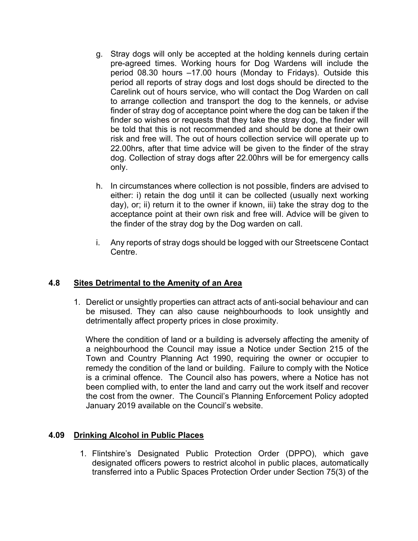- g. Stray dogs will only be accepted at the holding kennels during certain pre-agreed times. Working hours for Dog Wardens will include the period 08.30 hours –17.00 hours (Monday to Fridays). Outside this period all reports of stray dogs and lost dogs should be directed to the Carelink out of hours service, who will contact the Dog Warden on call to arrange collection and transport the dog to the kennels, or advise finder of stray dog of acceptance point where the dog can be taken if the finder so wishes or requests that they take the stray dog, the finder will be told that this is not recommended and should be done at their own risk and free will. The out of hours collection service will operate up to 22.00hrs, after that time advice will be given to the finder of the stray dog. Collection of stray dogs after 22.00hrs will be for emergency calls only.
- h. In circumstances where collection is not possible, finders are advised to either: i) retain the dog until it can be collected (usually next working day), or; ii) return it to the owner if known, iii) take the stray dog to the acceptance point at their own risk and free will. Advice will be given to the finder of the stray dog by the Dog warden on call.
- i. Any reports of stray dogs should be logged with our Streetscene Contact Centre.

### **4.8 Sites Detrimental to the Amenity of an Area**

1. Derelict or unsightly properties can attract acts of anti-social behaviour and can be misused. They can also cause neighbourhoods to look unsightly and detrimentally affect property prices in close proximity.

Where the condition of land or a building is adversely affecting the amenity of a neighbourhood the Council may issue a Notice under Section 215 of the Town and Country Planning Act 1990, requiring the owner or occupier to remedy the condition of the land or building. Failure to comply with the Notice is a criminal offence. The Council also has powers, where a Notice has not been complied with, to enter the land and carry out the work itself and recover the cost from the owner. The Council's Planning Enforcement Policy adopted January 2019 available on the Council's website.

# **4.09 Drinking Alcohol in Public Places**

1. Flintshire's Designated Public Protection Order (DPPO), which gave designated officers powers to restrict alcohol in public places, automatically transferred into a Public Spaces Protection Order under Section 75(3) of the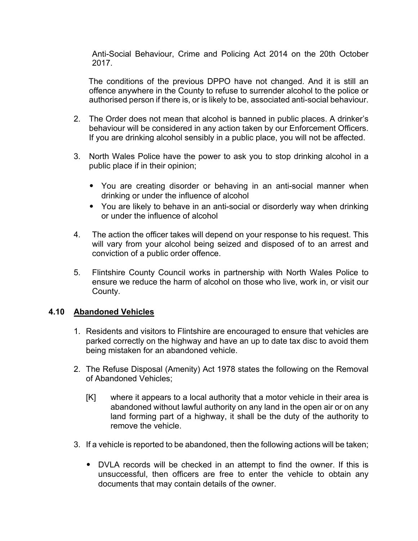Anti-Social Behaviour, Crime and Policing Act 2014 on the 20th October 2017.

The conditions of the previous DPPO have not changed. And it is still an offence anywhere in the County to refuse to surrender alcohol to the police or authorised person if there is, or is likely to be, associated anti-social behaviour.

- 2. The Order does not mean that alcohol is banned in public places. A drinker's behaviour will be considered in any action taken by our Enforcement Officers. If you are drinking alcohol sensibly in a public place, you will not be affected.
- 3. North Wales Police have the power to ask you to stop drinking alcohol in a public place if in their opinion;
	- You are creating disorder or behaving in an anti-social manner when drinking or under the influence of alcohol
	- You are likely to behave in an anti-social or disorderly way when drinking or under the influence of alcohol
- 4. The action the officer takes will depend on your response to his request. This will vary from your alcohol being seized and disposed of to an arrest and conviction of a public order offence.
- 5. Flintshire County Council works in partnership with North Wales Police to ensure we reduce the harm of alcohol on those who live, work in, or visit our County.

### **4.10 Abandoned Vehicles**

- 1. Residents and visitors to Flintshire are encouraged to ensure that vehicles are parked correctly on the highway and have an up to date tax disc to avoid them being mistaken for an abandoned vehicle.
- 2. The Refuse Disposal (Amenity) Act 1978 states the following on the Removal of Abandoned Vehicles;
	- [K] where it appears to a local authority that a motor vehicle in their area is abandoned without lawful authority on any land in the open air or on any land forming part of a highway, it shall be the duty of the authority to remove the vehicle.
- 3. If a vehicle is reported to be abandoned, then the following actions will be taken;
	- DVLA records will be checked in an attempt to find the owner. If this is unsuccessful, then officers are free to enter the vehicle to obtain any documents that may contain details of the owner.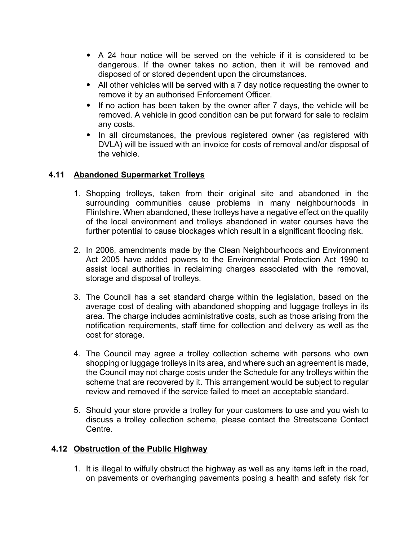- A 24 hour notice will be served on the vehicle if it is considered to be dangerous. If the owner takes no action, then it will be removed and disposed of or stored dependent upon the circumstances.
- All other vehicles will be served with a 7 day notice requesting the owner to remove it by an authorised Enforcement Officer.
- If no action has been taken by the owner after 7 days, the vehicle will be removed. A vehicle in good condition can be put forward for sale to reclaim any costs.
- In all circumstances, the previous registered owner (as registered with DVLA) will be issued with an invoice for costs of removal and/or disposal of the vehicle.

## **4.11 Abandoned Supermarket Trolleys**

- 1. Shopping trolleys, taken from their original site and abandoned in the surrounding communities cause problems in many neighbourhoods in Flintshire. When abandoned, these trolleys have a negative effect on the quality of the local environment and trolleys abandoned in water courses have the further potential to cause blockages which result in a significant flooding risk.
- 2. In 2006, amendments made by the Clean Neighbourhoods and Environment Act 2005 have added powers to the Environmental Protection Act 1990 to assist local authorities in reclaiming charges associated with the removal, storage and disposal of trolleys.
- 3. The Council has a set standard charge within the legislation, based on the average cost of dealing with abandoned shopping and luggage trolleys in its area. The charge includes administrative costs, such as those arising from the notification requirements, staff time for collection and delivery as well as the cost for storage.
- 4. The Council may agree a trolley collection scheme with persons who own shopping or luggage trolleys in its area, and where such an agreement is made, the Council may not charge costs under the Schedule for any trolleys within the scheme that are recovered by it. This arrangement would be subject to regular review and removed if the service failed to meet an acceptable standard.
- 5. Should your store provide a trolley for your customers to use and you wish to discuss a trolley collection scheme, please contact the Streetscene Contact Centre.

# **4.12 Obstruction of the Public Highway**

1. It is illegal to wilfully obstruct the highway as well as any items left in the road, on pavements or overhanging pavements posing a health and safety risk for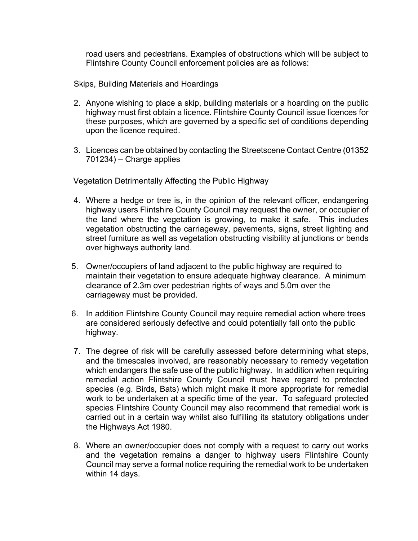road users and pedestrians. Examples of obstructions which will be subject to Flintshire County Council enforcement policies are as follows:

Skips, Building Materials and Hoardings

- 2. Anyone wishing to place a skip, building materials or a hoarding on the public highway must first obtain a licence. Flintshire County Council issue licences for these purposes, which are governed by a specific set of conditions depending upon the licence required.
- 3. Licences can be obtained by contacting the Streetscene Contact Centre (01352 701234) – Charge applies

Vegetation Detrimentally Affecting the Public Highway

- 4. Where a hedge or tree is, in the opinion of the relevant officer, endangering highway users Flintshire County Council may request the owner, or occupier of the land where the vegetation is growing, to make it safe. This includes vegetation obstructing the carriageway, pavements, signs, street lighting and street furniture as well as vegetation obstructing visibility at junctions or bends over highways authority land.
- 5. Owner/occupiers of land adjacent to the public highway are required to maintain their vegetation to ensure adequate highway clearance. A minimum clearance of 2.3m over pedestrian rights of ways and 5.0m over the carriageway must be provided.
- 6. In addition Flintshire County Council may require remedial action where trees are considered seriously defective and could potentially fall onto the public highway.
- 7. The degree of risk will be carefully assessed before determining what steps, and the timescales involved, are reasonably necessary to remedy vegetation which endangers the safe use of the public highway. In addition when requiring remedial action Flintshire County Council must have regard to protected species (e.g. Birds, Bats) which might make it more appropriate for remedial work to be undertaken at a specific time of the year. To safeguard protected species Flintshire County Council may also recommend that remedial work is carried out in a certain way whilst also fulfilling its statutory obligations under the Highways Act 1980.
- 8. Where an owner/occupier does not comply with a request to carry out works and the vegetation remains a danger to highway users Flintshire County Council may serve a formal notice requiring the remedial work to be undertaken within 14 days.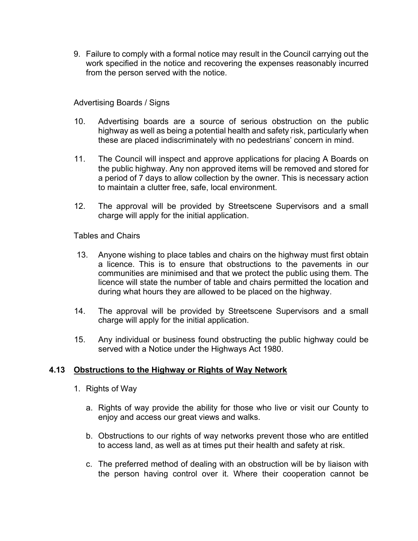9. Failure to comply with a formal notice may result in the Council carrying out the work specified in the notice and recovering the expenses reasonably incurred from the person served with the notice.

## Advertising Boards / Signs

- 10. Advertising boards are a source of serious obstruction on the public highway as well as being a potential health and safety risk, particularly when these are placed indiscriminately with no pedestrians' concern in mind.
- 11. The Council will inspect and approve applications for placing A Boards on the public highway. Any non approved items will be removed and stored for a period of 7 days to allow collection by the owner. This is necessary action to maintain a clutter free, safe, local environment.
- 12. The approval will be provided by Streetscene Supervisors and a small charge will apply for the initial application.

Tables and Chairs

- 13. Anyone wishing to place tables and chairs on the highway must first obtain a licence. This is to ensure that obstructions to the pavements in our communities are minimised and that we protect the public using them. The licence will state the number of table and chairs permitted the location and during what hours they are allowed to be placed on the highway.
- 14. The approval will be provided by Streetscene Supervisors and a small charge will apply for the initial application.
- 15. Any individual or business found obstructing the public highway could be served with a Notice under the Highways Act 1980.

# **4.13 Obstructions to the Highway or Rights of Way Network**

- 1. Rights of Way
	- a. Rights of way provide the ability for those who live or visit our County to enjoy and access our great views and walks.
	- b. Obstructions to our rights of way networks prevent those who are entitled to access land, as well as at times put their health and safety at risk.
	- c. The preferred method of dealing with an obstruction will be by liaison with the person having control over it. Where their cooperation cannot be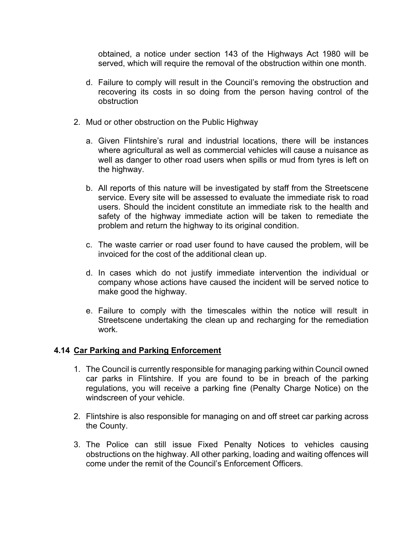obtained, a notice under section 143 of the Highways Act 1980 will be served, which will require the removal of the obstruction within one month.

- d. Failure to comply will result in the Council's removing the obstruction and recovering its costs in so doing from the person having control of the obstruction
- 2. Mud or other obstruction on the Public Highway
	- a. Given Flintshire's rural and industrial locations, there will be instances where agricultural as well as commercial vehicles will cause a nuisance as well as danger to other road users when spills or mud from tyres is left on the highway.
	- b. All reports of this nature will be investigated by staff from the Streetscene service. Every site will be assessed to evaluate the immediate risk to road users. Should the incident constitute an immediate risk to the health and safety of the highway immediate action will be taken to remediate the problem and return the highway to its original condition.
	- c. The waste carrier or road user found to have caused the problem, will be invoiced for the cost of the additional clean up.
	- d. In cases which do not justify immediate intervention the individual or company whose actions have caused the incident will be served notice to make good the highway.
	- e. Failure to comply with the timescales within the notice will result in Streetscene undertaking the clean up and recharging for the remediation work.

# **4.14 Car Parking and Parking Enforcement**

- 1. The Council is currently responsible for managing parking within Council owned car parks in Flintshire. If you are found to be in breach of the parking regulations, you will receive a parking fine (Penalty Charge Notice) on the windscreen of your vehicle.
- 2. Flintshire is also responsible for managing on and off street car parking across the County.
- 3. The Police can still issue Fixed Penalty Notices to vehicles causing obstructions on the highway. All other parking, loading and waiting offences will come under the remit of the Council's Enforcement Officers.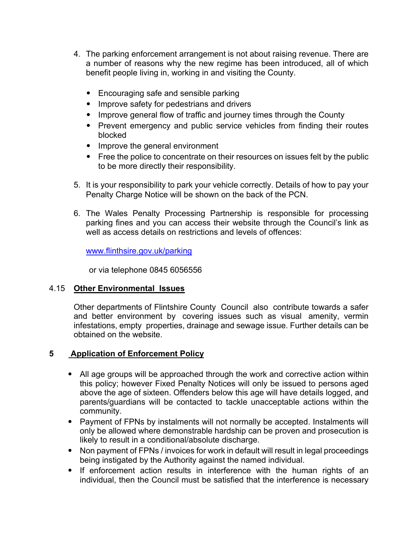- 4. The parking enforcement arrangement is not about raising revenue. There are a number of reasons why the new regime has been introduced, all of which benefit people living in, working in and visiting the County.
	- Encouraging safe and sensible parking
	- Improve safety for pedestrians and drivers
	- Improve general flow of traffic and journey times through the County
	- Prevent emergency and public service vehicles from finding their routes blocked
	- Improve the general environment
	- Free the police to concentrate on their resources on issues felt by the public to be more directly their responsibility.
- 5. It is your responsibility to park your vehicle correctly. Details of how to pay your Penalty Charge Notice will be shown on the back of the PCN.
- 6. The Wales Penalty Processing Partnership is responsible for processing parking fines and you can access their website through the Council's link as well as access details on restrictions and levels of offences:

www.flinthsire.gov.uk/parking

or via telephone 0845 6056556

# 4.15 **Other Environmental Issues**

Other departments of Flintshire County Council also contribute towards a safer and better environment by covering issues such as visual amenity, vermin infestations, empty properties, drainage and sewage issue. Further details can be obtained on the website.

# **5 Application of Enforcement Policy**

- All age groups will be approached through the work and corrective action within this policy; however Fixed Penalty Notices will only be issued to persons aged above the age of sixteen. Offenders below this age will have details logged, and parents/guardians will be contacted to tackle unacceptable actions within the community.
- Payment of FPNs by instalments will not normally be accepted. Instalments will only be allowed where demonstrable hardship can be proven and prosecution is likely to result in a conditional/absolute discharge.
- Non payment of FPNs / invoices for work in default will result in legal proceedings being instigated by the Authority against the named individual.
- If enforcement action results in interference with the human rights of an individual, then the Council must be satisfied that the interference is necessary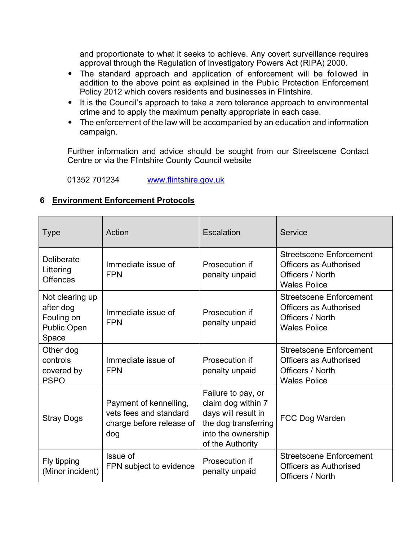and proportionate to what it seeks to achieve. Any covert surveillance requires approval through the Regulation of Investigatory Powers Act (RIPA) 2000.

- The standard approach and application of enforcement will be followed in addition to the above point as explained in the Public Protection Enforcement Policy 2012 which covers residents and businesses in Flintshire.
- It is the Council's approach to take a zero tolerance approach to environmental crime and to apply the maximum penalty appropriate in each case.
- The enforcement of the law will be accompanied by an education and information campaign.

Further information and advice should be sought from our Streetscene Contact Centre or via the Flintshire County Council website

01352 701234 www.flintshire.gov.uk

# **6 Environment Enforcement Protocols**

| <b>Type</b>                                                               | Action                                                                              | Escalation                                                                                                                        | Service                                                                                                    |
|---------------------------------------------------------------------------|-------------------------------------------------------------------------------------|-----------------------------------------------------------------------------------------------------------------------------------|------------------------------------------------------------------------------------------------------------|
| Deliberate<br>Littering<br><b>Offences</b>                                | Immediate issue of<br><b>FPN</b>                                                    | Prosecution if<br>penalty unpaid                                                                                                  | <b>Streetscene Enforcement</b><br><b>Officers as Authorised</b><br>Officers / North<br><b>Wales Police</b> |
| Not clearing up<br>after dog<br>Fouling on<br><b>Public Open</b><br>Space | Immediate issue of<br><b>FPN</b>                                                    | Prosecution if<br>penalty unpaid                                                                                                  | <b>Streetscene Enforcement</b><br>Officers as Authorised<br>Officers / North<br><b>Wales Police</b>        |
| Other dog<br>controls<br>covered by<br><b>PSPO</b>                        | Immediate issue of<br><b>FPN</b>                                                    | Prosecution if<br>penalty unpaid                                                                                                  | <b>Streetscene Enforcement</b><br><b>Officers as Authorised</b><br>Officers / North<br><b>Wales Police</b> |
| <b>Stray Dogs</b>                                                         | Payment of kennelling,<br>vets fees and standard<br>charge before release of<br>dog | Failure to pay, or<br>claim dog within 7<br>days will result in<br>the dog transferring<br>into the ownership<br>of the Authority | FCC Dog Warden                                                                                             |
| Fly tipping<br>(Minor incident)                                           | Issue of<br>FPN subject to evidence                                                 | Prosecution if<br>penalty unpaid                                                                                                  | <b>Streetscene Enforcement</b><br><b>Officers as Authorised</b><br>Officers / North                        |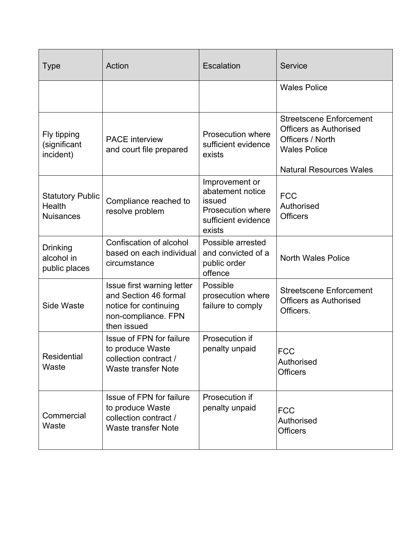| <b>Type</b>                                                  | Action                                                                                                             | Escalation                                                                                                | <b>Service</b>                                                                                                                               |
|--------------------------------------------------------------|--------------------------------------------------------------------------------------------------------------------|-----------------------------------------------------------------------------------------------------------|----------------------------------------------------------------------------------------------------------------------------------------------|
|                                                              |                                                                                                                    |                                                                                                           | <b>Wales Police</b>                                                                                                                          |
| Fly tipping<br>(significant<br>incident)                     | <b>PACE</b> interview<br>and court file prepared                                                                   | Prosecution where<br>sufficient evidence<br>exists                                                        | <b>Streetscene Enforcement</b><br><b>Officers as Authorised</b><br>Officers / North<br><b>Wales Police</b><br><b>Natural Resources Wales</b> |
| <b>Statutory Public</b><br><b>Health</b><br><b>Nuisances</b> | Compliance reached to<br>resolve problem                                                                           | Improvement or<br>abatement notice<br>issued<br><b>Prosecution where</b><br>sufficient evidence<br>exists | <b>FCC</b><br>Authorised<br><b>Officers</b>                                                                                                  |
| <b>Drinking</b><br>alcohol in<br>public places               | Confiscation of alcohol<br>based on each individual<br>circumstance                                                | Possible arrested<br>and convicted of a<br>public order<br>offence                                        | <b>North Wales Police</b>                                                                                                                    |
| <b>Side Waste</b>                                            | Issue first warning letter<br>and Section 46 formal<br>notice for continuing<br>non-compliance. FPN<br>then issued | Possible<br>prosecution where<br>failure to comply                                                        | <b>Streetscene Enforcement</b><br><b>Officers as Authorised</b><br>Officers.                                                                 |
| <b>Residential</b><br>Waste                                  | Issue of FPN for failure<br>to produce Waste<br>collection contract /<br><b>Waste transfer Note</b>                | Prosecution if<br>penalty unpaid                                                                          | <b>FCC</b><br>Authorised<br><b>Officers</b>                                                                                                  |
| Commercial<br>Waste                                          | Issue of FPN for failure<br>to produce Waste<br>collection contract /<br><b>Waste transfer Note</b>                | Prosecution if<br>penalty unpaid                                                                          | <b>FCC</b><br>Authorised<br><b>Officers</b>                                                                                                  |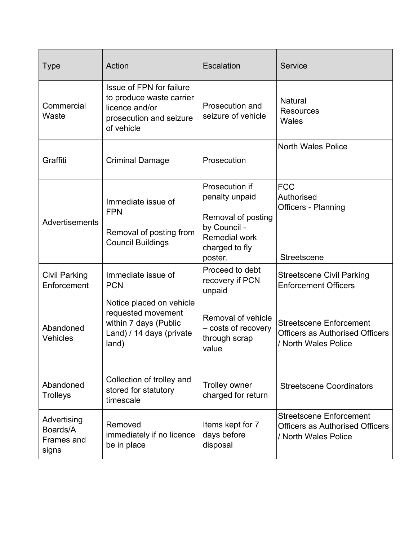| <b>Type</b>                                    | Action                                                                                                          | Escalation                                                                                                                  | Service                                                                                          |
|------------------------------------------------|-----------------------------------------------------------------------------------------------------------------|-----------------------------------------------------------------------------------------------------------------------------|--------------------------------------------------------------------------------------------------|
| Commercial<br>Waste                            | Issue of FPN for failure<br>to produce waste carrier<br>licence and/or<br>prosecution and seizure<br>of vehicle | <b>Prosecution and</b><br>seizure of vehicle                                                                                | <b>Natural</b><br><b>Resources</b><br>Wales                                                      |
| Graffiti                                       | <b>Criminal Damage</b>                                                                                          | Prosecution                                                                                                                 | <b>North Wales Police</b>                                                                        |
| Advertisements                                 | Immediate issue of<br><b>FPN</b><br>Removal of posting from<br><b>Council Buildings</b>                         | Prosecution if<br>penalty unpaid<br>Removal of posting<br>by Council -<br><b>Remedial work</b><br>charged to fly<br>poster. | <b>FCC</b><br>Authorised<br>Officers - Planning<br><b>Streetscene</b>                            |
| <b>Civil Parking</b><br>Enforcement            | Immediate issue of<br><b>PCN</b>                                                                                | Proceed to debt<br>recovery if PCN<br>unpaid                                                                                | <b>Streetscene Civil Parking</b><br><b>Enforcement Officers</b>                                  |
| Abandoned<br>Vehicles                          | Notice placed on vehicle<br>requested movement<br>within 7 days (Public<br>Land) / 14 days (private<br>land)    | Removal of vehicle<br>- costs of recovery<br>through scrap<br>value                                                         | <b>Streetscene Enforcement</b><br><b>Officers as Authorised Officers</b><br>/ North Wales Police |
| Abandoned<br><b>Trolleys</b>                   | Collection of trolley and<br>stored for statutory<br>timescale                                                  | <b>Trolley owner</b><br>charged for return                                                                                  | <b>Streetscene Coordinators</b>                                                                  |
| Advertising<br>Boards/A<br>Frames and<br>signs | Removed<br>immediately if no licence<br>be in place                                                             | Items kept for 7<br>days before<br>disposal                                                                                 | <b>Streetscene Enforcement</b><br><b>Officers as Authorised Officers</b><br>/ North Wales Police |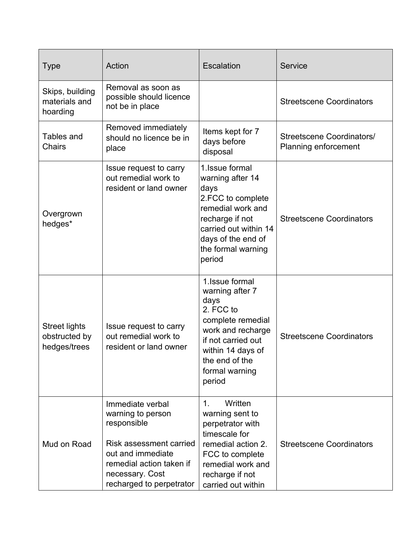| <b>Type</b>                                           | Action                                                                                                                                                                                 | <b>Escalation</b>                                                                                                                                                                          | <b>Service</b>                                           |
|-------------------------------------------------------|----------------------------------------------------------------------------------------------------------------------------------------------------------------------------------------|--------------------------------------------------------------------------------------------------------------------------------------------------------------------------------------------|----------------------------------------------------------|
| Skips, building<br>materials and<br>hoarding          | Removal as soon as<br>possible should licence<br>not be in place                                                                                                                       |                                                                                                                                                                                            | <b>Streetscene Coordinators</b>                          |
| Tables and<br><b>Chairs</b>                           | Removed immediately<br>should no licence be in<br>place                                                                                                                                | Items kept for 7<br>days before<br>disposal                                                                                                                                                | Streetscene Coordinators/<br><b>Planning enforcement</b> |
| Overgrown<br>hedges*                                  | Issue request to carry<br>out remedial work to<br>resident or land owner                                                                                                               | 1. Issue formal<br>warning after 14<br>days<br>2.FCC to complete<br>remedial work and<br>recharge if not<br>carried out within 14<br>days of the end of<br>the formal warning<br>period    | <b>Streetscene Coordinators</b>                          |
| <b>Street lights</b><br>obstructed by<br>hedges/trees | Issue request to carry<br>out remedial work to<br>resident or land owner                                                                                                               | 1. Issue formal<br>warning after 7<br>days<br>2. FCC to<br>complete remedial<br>work and recharge<br>if not carried out<br>within 14 days of<br>the end of the<br>formal warning<br>period | <b>Streetscene Coordinators</b>                          |
| Mud on Road                                           | Immediate verbal<br>warning to person<br>responsible<br><b>Risk assessment carried</b><br>out and immediate<br>remedial action taken if<br>necessary. Cost<br>recharged to perpetrator | Written<br>1.<br>warning sent to<br>perpetrator with<br>timescale for<br>remedial action 2.<br>FCC to complete<br>remedial work and<br>recharge if not<br>carried out within               | <b>Streetscene Coordinators</b>                          |